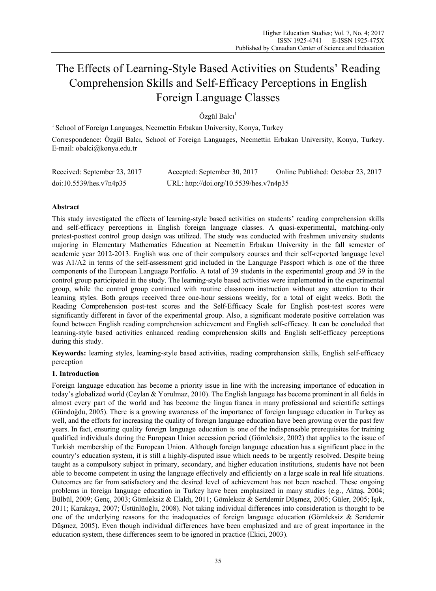# The Effects of Learning-Style Based Activities on Students' Reading Comprehension Skills and Self-Efficacy Perceptions in English Foreign Language Classes

Özgül Balcı<sup>1</sup>

<sup>1</sup> School of Foreign Languages, Necmettin Erbakan University, Konya, Turkey

Correspondence: Özgül Balcı, School of Foreign Languages, Necmettin Erbakan University, Konya, Turkey. E-mail: obalci@konya.edu.tr

| Received: September 23, 2017 | Accepted: September 30, 2017            | Online Published: October 23, 2017 |
|------------------------------|-----------------------------------------|------------------------------------|
| doi:10.5539/hes.v7n4p35      | URL: http://doi.org/10.5539/hes.v7n4p35 |                                    |

# **Abstract**

This study investigated the effects of learning-style based activities on students' reading comprehension skills and self-efficacy perceptions in English foreign language classes. A quasi-experimental, matching-only pretest-posttest control group design was utilized. The study was conducted with freshmen university students majoring in Elementary Mathematics Education at Necmettin Erbakan University in the fall semester of academic year 2012-2013. English was one of their compulsory courses and their self-reported language level was A1/A2 in terms of the self-assessment grid included in the Language Passport which is one of the three components of the European Language Portfolio. A total of 39 students in the experimental group and 39 in the control group participated in the study. The learning-style based activities were implemented in the experimental group, while the control group continued with routine classroom instruction without any attention to their learning styles. Both groups received three one-hour sessions weekly, for a total of eight weeks. Both the Reading Comprehension post-test scores and the Self-Efficacy Scale for English post-test scores were significantly different in favor of the experimental group. Also, a significant moderate positive correlation was found between English reading comprehension achievement and English self-efficacy. It can be concluded that learning-style based activities enhanced reading comprehension skills and English self-efficacy perceptions during this study.

**Keywords:** learning styles, learning-style based activities, reading comprehension skills, English self-efficacy perception

# **1. Introduction**

Foreign language education has become a priority issue in line with the increasing importance of education in today's globalized world (Ceylan & Yorulmaz, 2010). The English language has become prominent in all fields in almost every part of the world and has become the lingua franca in many professional and scientific settings (Gündoğdu, 2005). There is a growing awareness of the importance of foreign language education in Turkey as well, and the efforts for increasing the quality of foreign language education have been growing over the past few years. In fact, ensuring quality foreign language education is one of the indispensable prerequisites for training qualified individuals during the European Union accession period (Gömleksiz, 2002) that applies to the issue of Turkish membership of the European Union. Although foreign language education has a significant place in the country's education system, it is still a highly-disputed issue which needs to be urgently resolved. Despite being taught as a compulsory subject in primary, secondary, and higher education institutions, students have not been able to become competent in using the language effectively and efficiently on a large scale in real life situations. Outcomes are far from satisfactory and the desired level of achievement has not been reached. These ongoing problems in foreign language education in Turkey have been emphasized in many studies (e.g., Aktaş, 2004; Bülbül, 2009; Genç, 2003; Gömleksiz & Elaldı, 2011; Gömleksiz & Sertdemir Düşmez, 2005; Güler, 2005; Işık, 2011; Karakaya, 2007; Üstünlüoğlu, 2008). Not taking individual differences into consideration is thought to be one of the underlying reasons for the inadequacies of foreign language education (Gömleksiz & Sertdemir Düşmez, 2005). Even though individual differences have been emphasized and are of great importance in the education system, these differences seem to be ignored in practice (Ekici, 2003).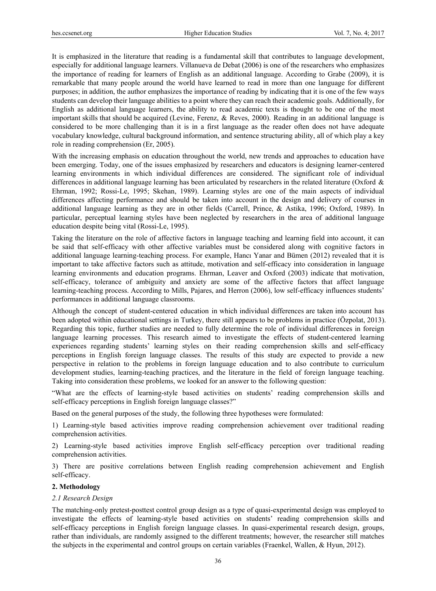It is emphasized in the literature that reading is a fundamental skill that contributes to language development, especially for additional language learners. Villanueva de Debat (2006) is one of the researchers who emphasizes the importance of reading for learners of English as an additional language. According to Grabe (2009), it is remarkable that many people around the world have learned to read in more than one language for different purposes; in addition, the author emphasizes the importance of reading by indicating that it is one of the few ways students can develop their language abilities to a point where they can reach their academic goals. Additionally, for English as additional language learners, the ability to read academic texts is thought to be one of the most important skills that should be acquired (Levine, Ferenz, & Reves, 2000). Reading in an additional language is considered to be more challenging than it is in a first language as the reader often does not have adequate vocabulary knowledge, cultural background information, and sentence structuring ability, all of which play a key role in reading comprehension (Er, 2005).

With the increasing emphasis on education throughout the world, new trends and approaches to education have been emerging. Today, one of the issues emphasized by researchers and educators is designing learner-centered learning environments in which individual differences are considered. The significant role of individual differences in additional language learning has been articulated by researchers in the related literature (Oxford & Ehrman, 1992; Rossi-Le, 1995; Skehan, 1989). Learning styles are one of the main aspects of individual differences affecting performance and should be taken into account in the design and delivery of courses in additional language learning as they are in other fields (Carrell, Prince, & Astika, 1996; Oxford, 1989). In particular, perceptual learning styles have been neglected by researchers in the area of additional language education despite being vital (Rossi-Le, 1995).

Taking the literature on the role of affective factors in language teaching and learning field into account, it can be said that self-efficacy with other affective variables must be considered along with cognitive factors in additional language learning-teaching process. For example, Hancı Yanar and Bümen (2012) revealed that it is important to take affective factors such as attitude, motivation and self-efficacy into consideration in language learning environments and education programs. Ehrman, Leaver and Oxford (2003) indicate that motivation, self-efficacy, tolerance of ambiguity and anxiety are some of the affective factors that affect language learning-teaching process. According to Mills, Pajares, and Herron (2006), low self-efficacy influences students' performances in additional language classrooms.

Although the concept of student-centered education in which individual differences are taken into account has been adopted within educational settings in Turkey, there still appears to be problems in practice (Özpolat, 2013). Regarding this topic, further studies are needed to fully determine the role of individual differences in foreign language learning processes. This research aimed to investigate the effects of student-centered learning experiences regarding students' learning styles on their reading comprehension skills and self-efficacy perceptions in English foreign language classes. The results of this study are expected to provide a new perspective in relation to the problems in foreign language education and to also contribute to curriculum development studies, learning-teaching practices, and the literature in the field of foreign language teaching. Taking into consideration these problems, we looked for an answer to the following question:

"What are the effects of learning-style based activities on students' reading comprehension skills and self-efficacy perceptions in English foreign language classes?"

Based on the general purposes of the study, the following three hypotheses were formulated:

1) Learning-style based activities improve reading comprehension achievement over traditional reading comprehension activities.

2) Learning-style based activities improve English self-efficacy perception over traditional reading comprehension activities.

3) There are positive correlations between English reading comprehension achievement and English self-efficacy.

#### **2. Methodology**

#### *2.1 Research Design*

The matching-only pretest-posttest control group design as a type of quasi-experimental design was employed to investigate the effects of learning-style based activities on students' reading comprehension skills and self-efficacy perceptions in English foreign language classes. In quasi-experimental research design, groups, rather than individuals, are randomly assigned to the different treatments; however, the researcher still matches the subjects in the experimental and control groups on certain variables (Fraenkel, Wallen, & Hyun, 2012).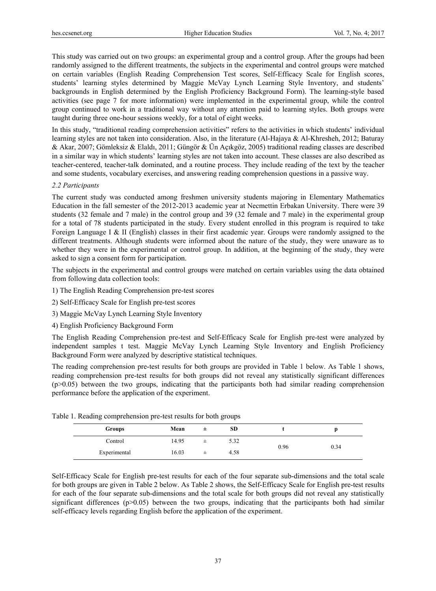This study was carried out on two groups: an experimental group and a control group. After the groups had been randomly assigned to the different treatments, the subjects in the experimental and control groups were matched on certain variables (English Reading Comprehension Test scores, Self-Efficacy Scale for English scores, students' learning styles determined by Maggie McVay Lynch Learning Style Inventory, and students' backgrounds in English determined by the English Proficiency Background Form). The learning-style based activities (see page 7 for more information) were implemented in the experimental group, while the control group continued to work in a traditional way without any attention paid to learning styles. Both groups were taught during three one-hour sessions weekly, for a total of eight weeks.

In this study, "traditional reading comprehension activities" refers to the activities in which students' individual learning styles are not taken into consideration. Also, in the literature (Al-Hajaya & Al-Khresheh, 2012; Baturay & Akar, 2007; Gömleksiz & Elaldı, 2011; Güngör & Ün Açıkgöz, 2005) traditional reading classes are described in a similar way in which students' learning styles are not taken into account. These classes are also described as teacher-centered, teacher-talk dominated, and a routine process. They include reading of the text by the teacher and some students, vocabulary exercises, and answering reading comprehension questions in a passive way.

#### *2.2 Participants*

The current study was conducted among freshmen university students majoring in Elementary Mathematics Education in the fall semester of the 2012-2013 academic year at Necmettin Erbakan University. There were 39 students (32 female and 7 male) in the control group and 39 (32 female and 7 male) in the experimental group for a total of 78 students participated in the study. Every student enrolled in this program is required to take Foreign Language I & II (English) classes in their first academic year. Groups were randomly assigned to the different treatments. Although students were informed about the nature of the study, they were unaware as to whether they were in the experimental or control group. In addition, at the beginning of the study, they were asked to sign a consent form for participation.

The subjects in the experimental and control groups were matched on certain variables using the data obtained from following data collection tools:

- 1) The English Reading Comprehension pre-test scores
- 2) Self-Efficacy Scale for English pre-test scores
- 3) Maggie McVay Lynch Learning Style Inventory
- 4) English Proficiency Background Form

The English Reading Comprehension pre-test and Self-Efficacy Scale for English pre-test were analyzed by independent samples t test. Maggie McVay Lynch Learning Style Inventory and English Proficiency Background Form were analyzed by descriptive statistical techniques.

The reading comprehension pre-test results for both groups are provided in Table 1 below. As Table 1 shows, reading comprehension pre-test results for both groups did not reveal any statistically significant differences  $(p>0.05)$  between the two groups, indicating that the participants both had similar reading comprehension performance before the application of the experiment.

| <b>Groups</b> | Mean  | 土 | <b>SD</b> |      |      |
|---------------|-------|---|-----------|------|------|
| Control       | 14.95 | 士 | 5.32      | 0.96 | 0.34 |
| Experimental  | 16.03 | 士 | 4.58      |      |      |

Table 1. Reading comprehension pre-test results for both groups

Self-Efficacy Scale for English pre-test results for each of the four separate sub-dimensions and the total scale for both groups are given in Table 2 below. As Table 2 shows, the Self-Efficacy Scale for English pre-test results for each of the four separate sub-dimensions and the total scale for both groups did not reveal any statistically significant differences ( $p$  $>$ 0.05) between the two groups, indicating that the participants both had similar self-efficacy levels regarding English before the application of the experiment.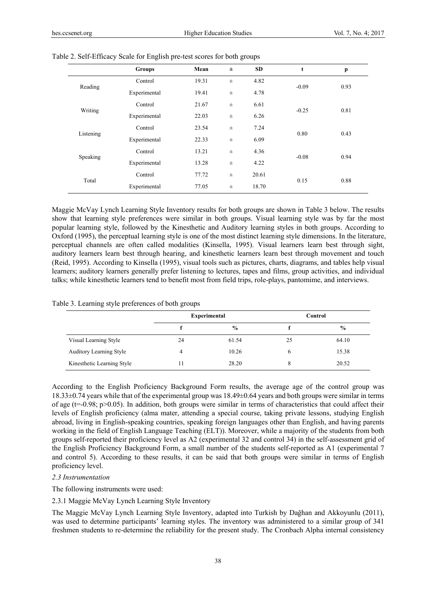|           | <b>Groups</b> | Mean  | $\pm$    | <b>SD</b> | t       | p    |  |
|-----------|---------------|-------|----------|-----------|---------|------|--|
| Reading   | Control       | 19.31 | $\pm$    | 4.82      | $-0.09$ | 0.93 |  |
|           | Experimental  | 19.41 | $\pm$    | 4.78      |         |      |  |
|           | Control       | 21.67 | $_{\pm}$ | 6.61      | $-0.25$ | 0.81 |  |
| Writing   | Experimental  | 22.03 | $\pm$    | 6.26      |         |      |  |
|           | Control       | 23.54 | $\pm$    | 7.24      | 0.80    |      |  |
| Listening | Experimental  | 22.33 | $\pm$    | 6.09      |         | 0.43 |  |
|           | Control       | 13.21 | $\pm$    | 4.36      | $-0.08$ | 0.94 |  |
| Speaking  | Experimental  | 13.28 | $\pm$    | 4.22      |         |      |  |
|           | Control       | 77.72 | $\pm$    | 20.61     |         |      |  |
| Total     | Experimental  | 77.05 | $\pm$    | 18.70     | 0.15    | 0.88 |  |

Table 2. Self-Efficacy Scale for English pre-test scores for both groups

Maggie McVay Lynch Learning Style Inventory results for both groups are shown in Table 3 below. The results show that learning style preferences were similar in both groups. Visual learning style was by far the most popular learning style, followed by the Kinesthetic and Auditory learning styles in both groups. According to Oxford (1995), the perceptual learning style is one of the most distinct learning style dimensions. In the literature, perceptual channels are often called modalities (Kinsella, 1995). Visual learners learn best through sight, auditory learners learn best through hearing, and kinesthetic learners learn best through movement and touch (Reid, 1995). According to Kinsella (1995), visual tools such as pictures, charts, diagrams, and tables help visual learners; auditory learners generally prefer listening to lectures, tapes and films, group activities, and individual talks; while kinesthetic learners tend to benefit most from field trips, role-plays, pantomime, and interviews.

|  | Table 3. Learning style preferences of both groups |  |
|--|----------------------------------------------------|--|
|  |                                                    |  |

|                                | <b>Experimental</b> |               | Control |               |
|--------------------------------|---------------------|---------------|---------|---------------|
|                                |                     | $\frac{0}{0}$ |         | $\frac{6}{9}$ |
| Visual Learning Style          | 24                  | 61.54         | 25      | 64.10         |
| <b>Auditory Learning Style</b> | 4                   | 10.26         | 6       | 15.38         |
| Kinesthetic Learning Style     | 11                  | 28.20         | 8       | 20.52         |

According to the English Proficiency Background Form results, the average age of the control group was 18.33±0.74 years while that of the experimental group was 18.49±0.64 years and both groups were similar in terms of age (t=-0.98; p>0.05). In addition, both groups were similar in terms of characteristics that could affect their levels of English proficiency (alma mater, attending a special course, taking private lessons, studying English abroad, living in English-speaking countries, speaking foreign languages other than English, and having parents working in the field of English Language Teaching (ELT)). Moreover, while a majority of the students from both groups self-reported their proficiency level as A2 (experimental 32 and control 34) in the self-assessment grid of the English Proficiency Background Form, a small number of the students self-reported as A1 (experimental 7 and control 5). According to these results, it can be said that both groups were similar in terms of English proficiency level.

#### *2.3 Instrumentation*

The following instruments were used:

2.3.1 Maggie McVay Lynch Learning Style Inventory

The Maggie McVay Lynch Learning Style Inventory, adapted into Turkish by Dağhan and Akkoyunlu (2011), was used to determine participants' learning styles. The inventory was administered to a similar group of 341 freshmen students to re-determine the reliability for the present study. The Cronbach Alpha internal consistency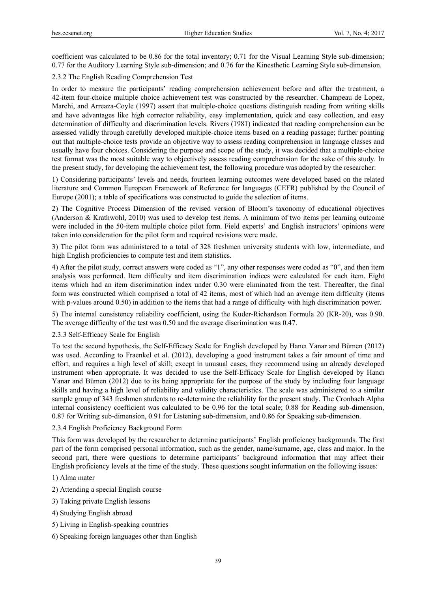coefficient was calculated to be 0.86 for the total inventory; 0.71 for the Visual Learning Style sub-dimension; 0.77 for the Auditory Learning Style sub-dimension; and 0.76 for the Kinesthetic Learning Style sub-dimension.

## 2.3.2 The English Reading Comprehension Test

In order to measure the participants' reading comprehension achievement before and after the treatment, a 42-item four-choice multiple choice achievement test was constructed by the researcher. Champeau de Lopez, Marchi, and Arreaza-Coyle (1997) assert that multiple-choice questions distinguish reading from writing skills and have advantages like high corrector reliability, easy implementation, quick and easy collection, and easy determination of difficulty and discrimination levels. Rivers (1981) indicated that reading comprehension can be assessed validly through carefully developed multiple-choice items based on a reading passage; further pointing out that multiple-choice tests provide an objective way to assess reading comprehension in language classes and usually have four choices. Considering the purpose and scope of the study, it was decided that a multiple-choice test format was the most suitable way to objectively assess reading comprehension for the sake of this study. In the present study, for developing the achievement test, the following procedure was adopted by the researcher:

1) Considering participants' levels and needs, fourteen learning outcomes were developed based on the related literature and Common European Framework of Reference for languages (CEFR) published by the Council of Europe (2001); a table of specifications was constructed to guide the selection of items.

2) The Cognitive Process Dimension of the revised version of Bloom's taxonomy of educational objectives (Anderson & Krathwohl, 2010) was used to develop test items. A minimum of two items per learning outcome were included in the 50-item multiple choice pilot form. Field experts' and English instructors' opinions were taken into consideration for the pilot form and required revisions were made.

3) The pilot form was administered to a total of 328 freshmen university students with low, intermediate, and high English proficiencies to compute test and item statistics.

4) After the pilot study, correct answers were coded as "1", any other responses were coded as "0", and then item analysis was performed. Item difficulty and item discrimination indices were calculated for each item. Eight items which had an item discrimination index under 0.30 were eliminated from the test. Thereafter, the final form was constructed which comprised a total of 42 items, most of which had an average item difficulty (items with p-values around 0.50) in addition to the items that had a range of difficulty with high discrimination power.

5) The internal consistency reliability coefficient, using the Kuder-Richardson Formula 20 (KR-20), was 0.90. The average difficulty of the test was 0.50 and the average discrimination was 0.47.

#### 2.3.3 Self-Efficacy Scale for English

To test the second hypothesis, the Self-Efficacy Scale for English developed by Hancı Yanar and Bümen (2012) was used. According to Fraenkel et al. (2012), developing a good instrument takes a fair amount of time and effort, and requires a high level of skill; except in unusual cases, they recommend using an already developed instrument when appropriate. It was decided to use the Self-Efficacy Scale for English developed by Hancı Yanar and Bümen (2012) due to its being appropriate for the purpose of the study by including four language skills and having a high level of reliability and validity characteristics. The scale was administered to a similar sample group of 343 freshmen students to re-determine the reliability for the present study. The Cronbach Alpha internal consistency coefficient was calculated to be 0.96 for the total scale; 0.88 for Reading sub-dimension, 0.87 for Writing sub-dimension, 0.91 for Listening sub-dimension, and 0.86 for Speaking sub-dimension.

#### 2.3.4 English Proficiency Background Form

This form was developed by the researcher to determine participants' English proficiency backgrounds. The first part of the form comprised personal information, such as the gender, name/surname, age, class and major. In the second part, there were questions to determine participants' background information that may affect their English proficiency levels at the time of the study. These questions sought information on the following issues:

## 1) Alma mater

- 2) Attending a special English course
- 3) Taking private English lessons
- 4) Studying English abroad
- 5) Living in English-speaking countries
- 6) Speaking foreign languages other than English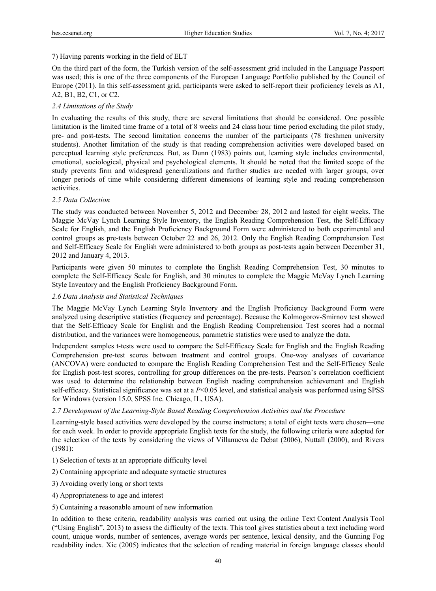# 7) Having parents working in the field of ELT

On the third part of the form, the Turkish version of the self-assessment grid included in the Language Passport was used; this is one of the three components of the European Language Portfolio published by the Council of Europe (2011). In this self-assessment grid, participants were asked to self-report their proficiency levels as A1, A2, B1, B2, C1, or C2.

# *2.4 Limitations of the Study*

In evaluating the results of this study, there are several limitations that should be considered. One possible limitation is the limited time frame of a total of 8 weeks and 24 class hour time period excluding the pilot study, pre- and post-tests. The second limitation concerns the number of the participants (78 freshmen university students). Another limitation of the study is that reading comprehension activities were developed based on perceptual learning style preferences. But, as Dunn (1983) points out, learning style includes environmental, emotional, sociological, physical and psychological elements. It should be noted that the limited scope of the study prevents firm and widespread generalizations and further studies are needed with larger groups, over longer periods of time while considering different dimensions of learning style and reading comprehension activities.

# *2.5 Data Collection*

The study was conducted between November 5, 2012 and December 28, 2012 and lasted for eight weeks. The Maggie McVay Lynch Learning Style Inventory, the English Reading Comprehension Test, the Self-Efficacy Scale for English, and the English Proficiency Background Form were administered to both experimental and control groups as pre-tests between October 22 and 26, 2012. Only the English Reading Comprehension Test and Self-Efficacy Scale for English were administered to both groups as post-tests again between December 31, 2012 and January 4, 2013.

Participants were given 50 minutes to complete the English Reading Comprehension Test, 30 minutes to complete the Self-Efficacy Scale for English, and 30 minutes to complete the Maggie McVay Lynch Learning Style Inventory and the English Proficiency Background Form.

# *2.6 Data Analysis and Statistical Techniques*

The Maggie McVay Lynch Learning Style Inventory and the English Proficiency Background Form were analyzed using descriptive statistics (frequency and percentage). Because the Kolmogorov-Smirnov test showed that the Self-Efficacy Scale for English and the English Reading Comprehension Test scores had a normal distribution, and the variances were homogeneous, parametric statistics were used to analyze the data.

Independent samples t-tests were used to compare the Self-Efficacy Scale for English and the English Reading Comprehension pre-test scores between treatment and control groups. One-way analyses of covariance (ANCOVA) were conducted to compare the English Reading Comprehension Test and the Self-Efficacy Scale for English post-test scores, controlling for group differences on the pre-tests. Pearson's correlation coefficient was used to determine the relationship between English reading comprehension achievement and English self-efficacy. Statistical significance was set at a *P*<0.05 level, and statistical analysis was performed using SPSS for Windows (version 15.0, SPSS Inc. Chicago, IL, USA).

# *2.7 Development of the Learning-Style Based Reading Comprehension Activities and the Procedure*

Learning-style based activities were developed by the course instructors; a total of eight texts were chosen—one for each week. In order to provide appropriate English texts for the study, the following criteria were adopted for the selection of the texts by considering the views of Villanueva de Debat (2006), Nuttall (2000), and Rivers (1981):

1) Selection of texts at an appropriate difficulty level

2) Containing appropriate and adequate syntactic structures

- 3) Avoiding overly long or short texts
- 4) Appropriateness to age and interest
- 5) Containing a reasonable amount of new information

In addition to these criteria, readability analysis was carried out using the online Text Content Analysis Tool ("Using English", 2013) to assess the difficulty of the texts. This tool gives statistics about a text including word count, unique words, number of sentences, average words per sentence, lexical density, and the Gunning Fog readability index. Xie (2005) indicates that the selection of reading material in foreign language classes should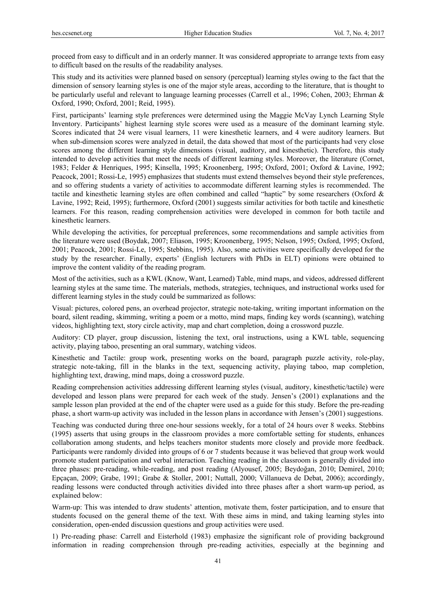proceed from easy to difficult and in an orderly manner. It was considered appropriate to arrange texts from easy to difficult based on the results of the readability analyses.

This study and its activities were planned based on sensory (perceptual) learning styles owing to the fact that the dimension of sensory learning styles is one of the major style areas, according to the literature, that is thought to be particularly useful and relevant to language learning processes (Carrell et al., 1996; Cohen, 2003; Ehrman & Oxford, 1990; Oxford, 2001; Reid, 1995).

First, participants' learning style preferences were determined using the Maggie McVay Lynch Learning Style Inventory. Participants' highest learning style scores were used as a measure of the dominant learning style. Scores indicated that 24 were visual learners, 11 were kinesthetic learners, and 4 were auditory learners. But when sub-dimension scores were analyzed in detail, the data showed that most of the participants had very close scores among the different learning style dimensions (visual, auditory, and kinesthetic). Therefore, this study intended to develop activities that meet the needs of different learning styles. Moreover, the literature (Cornet, 1983; Felder & Henriques, 1995; Kinsella, 1995; Kroonenberg, 1995; Oxford, 2001; Oxford & Lavine, 1992; Peacock, 2001; Rossi-Le, 1995) emphasizes that students must extend themselves beyond their style preferences, and so offering students a variety of activities to accommodate different learning styles is recommended. The tactile and kinesthetic learning styles are often combined and called "haptic" by some researchers (Oxford & Lavine, 1992; Reid, 1995); furthermore, Oxford (2001) suggests similar activities for both tactile and kinesthetic learners. For this reason, reading comprehension activities were developed in common for both tactile and kinesthetic learners.

While developing the activities, for perceptual preferences, some recommendations and sample activities from the literature were used (Boydak, 2007; Eliason, 1995; Kroonenberg, 1995; Nelson, 1995; Oxford, 1995; Oxford, 2001; Peacock, 2001; Rossi-Le, 1995; Stebbins, 1995). Also, some activities were specifically developed for the study by the researcher. Finally, experts' (English lecturers with PhDs in ELT) opinions were obtained to improve the content validity of the reading program.

Most of the activities, such as a KWL (Know, Want, Learned) Table, mind maps, and videos, addressed different learning styles at the same time. The materials, methods, strategies, techniques, and instructional works used for different learning styles in the study could be summarized as follows:

Visual: pictures, colored pens, an overhead projector, strategic note-taking, writing important information on the board, silent reading, skimming, writing a poem or a motto, mind maps, finding key words (scanning), watching videos, highlighting text, story circle activity, map and chart completion, doing a crossword puzzle.

Auditory: CD player, group discussion, listening the text, oral instructions, using a KWL table, sequencing activity, playing taboo, presenting an oral summary, watching videos.

Kinesthetic and Tactile: group work, presenting works on the board, paragraph puzzle activity, role-play, strategic note-taking, fill in the blanks in the text, sequencing activity, playing taboo, map completion, highlighting text, drawing, mind maps, doing a crossword puzzle.

Reading comprehension activities addressing different learning styles (visual, auditory, kinesthetic/tactile) were developed and lesson plans were prepared for each week of the study. Jensen's (2001) explanations and the sample lesson plan provided at the end of the chapter were used as a guide for this study. Before the pre-reading phase, a short warm-up activity was included in the lesson plans in accordance with Jensen's (2001) suggestions.

Teaching was conducted during three one-hour sessions weekly, for a total of 24 hours over 8 weeks. Stebbins (1995) asserts that using groups in the classroom provides a more comfortable setting for students, enhances collaboration among students, and helps teachers monitor students more closely and provide more feedback. Participants were randomly divided into groups of 6 or 7 students because it was believed that group work would promote student participation and verbal interaction. Teaching reading in the classroom is generally divided into three phases: pre-reading, while-reading, and post reading (Alyousef, 2005; Beydoğan, 2010; Demirel, 2010; Epçaçan, 2009; Grabe, 1991; Grabe & Stoller, 2001; Nuttall, 2000; Villanueva de Debat, 2006); accordingly, reading lessons were conducted through activities divided into three phases after a short warm-up period, as explained below:

Warm-up: This was intended to draw students' attention, motivate them, foster participation, and to ensure that students focused on the general theme of the text. With these aims in mind, and taking learning styles into consideration, open-ended discussion questions and group activities were used.

1) Pre-reading phase: Carrell and Eisterhold (1983) emphasize the significant role of providing background information in reading comprehension through pre-reading activities, especially at the beginning and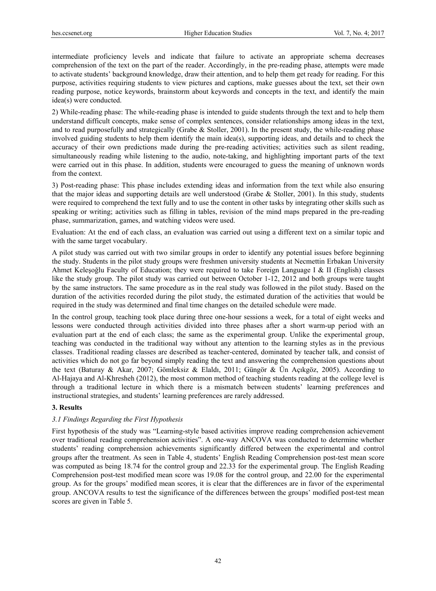intermediate proficiency levels and indicate that failure to activate an appropriate schema decreases comprehension of the text on the part of the reader. Accordingly, in the pre-reading phase, attempts were made to activate students' background knowledge, draw their attention, and to help them get ready for reading. For this purpose, activities requiring students to view pictures and captions, make guesses about the text, set their own reading purpose, notice keywords, brainstorm about keywords and concepts in the text, and identify the main idea(s) were conducted.

2) While-reading phase: The while-reading phase is intended to guide students through the text and to help them understand difficult concepts, make sense of complex sentences, consider relationships among ideas in the text, and to read purposefully and strategically (Grabe  $&$  Stoller, 2001). In the present study, the while-reading phase involved guiding students to help them identify the main idea(s), supporting ideas, and details and to check the accuracy of their own predictions made during the pre-reading activities; activities such as silent reading, simultaneously reading while listening to the audio, note-taking, and highlighting important parts of the text were carried out in this phase. In addition, students were encouraged to guess the meaning of unknown words from the context.

3) Post-reading phase: This phase includes extending ideas and information from the text while also ensuring that the major ideas and supporting details are well understood (Grabe & Stoller, 2001). In this study, students were required to comprehend the text fully and to use the content in other tasks by integrating other skills such as speaking or writing; activities such as filling in tables, revision of the mind maps prepared in the pre-reading phase, summarization, games, and watching videos were used.

Evaluation: At the end of each class, an evaluation was carried out using a different text on a similar topic and with the same target vocabulary.

A pilot study was carried out with two similar groups in order to identify any potential issues before beginning the study. Students in the pilot study groups were freshmen university students at Necmettin Erbakan University Ahmet Keleşoğlu Faculty of Education; they were required to take Foreign Language I & II (English) classes like the study group. The pilot study was carried out between October 1-12, 2012 and both groups were taught by the same instructors. The same procedure as in the real study was followed in the pilot study. Based on the duration of the activities recorded during the pilot study, the estimated duration of the activities that would be required in the study was determined and final time changes on the detailed schedule were made.

In the control group, teaching took place during three one-hour sessions a week, for a total of eight weeks and lessons were conducted through activities divided into three phases after a short warm-up period with an evaluation part at the end of each class; the same as the experimental group. Unlike the experimental group, teaching was conducted in the traditional way without any attention to the learning styles as in the previous classes. Traditional reading classes are described as teacher-centered, dominated by teacher talk, and consist of activities which do not go far beyond simply reading the text and answering the comprehension questions about the text (Baturay & Akar, 2007; Gömleksiz & Elaldı, 2011; Güngör & Ün Açıkgöz, 2005). According to Al-Hajaya and Al-Khresheh (2012), the most common method of teaching students reading at the college level is through a traditional lecture in which there is a mismatch between students' learning preferences and instructional strategies, and students' learning preferences are rarely addressed.

# **3. Results**

# *3.1 Findings Regarding the First Hypothesis*

First hypothesis of the study was "Learning-style based activities improve reading comprehension achievement over traditional reading comprehension activities". A one-way ANCOVA was conducted to determine whether students' reading comprehension achievements significantly differed between the experimental and control groups after the treatment. As seen in Table 4, students' English Reading Comprehension post-test mean score was computed as being 18.74 for the control group and 22.33 for the experimental group. The English Reading Comprehension post-test modified mean score was 19.08 for the control group, and 22.00 for the experimental group. As for the groups' modified mean scores, it is clear that the differences are in favor of the experimental group. ANCOVA results to test the significance of the differences between the groups' modified post-test mean scores are given in Table 5.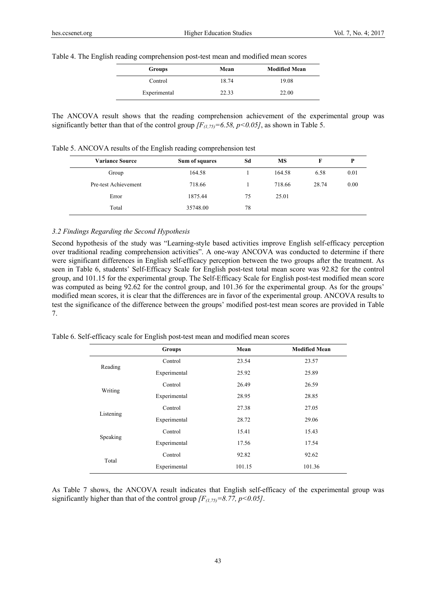|  | Table 4. The English reading comprehension post-test mean and modified mean scores |  |  |
|--|------------------------------------------------------------------------------------|--|--|
|  |                                                                                    |  |  |

| <b>Groups</b> | Mean  | <b>Modified Mean</b> |
|---------------|-------|----------------------|
| Control       | 18.74 | 19.08                |
| Experimental  | 22.33 | 22.00                |

The ANCOVA result shows that the reading comprehension achievement of the experimental group was significantly better than that of the control group  $\frac{F_{(1,75)}=6.58}{p\leq 0.05}$ , as shown in Table 5.

| <b>Variance Source</b> | Sum of squares | Sd | MS     | F     | D    |
|------------------------|----------------|----|--------|-------|------|
| Group                  | 164.58         |    | 164.58 | 6.58  | 0.01 |
| Pre-test Achievement   | 718.66         |    | 718.66 | 28.74 | 0.00 |
| Error                  | 1875.44        | 75 | 25.01  |       |      |
| Total                  | 35748.00       | 78 |        |       |      |

Table 5. ANCOVA results of the English reading comprehension test

#### *3.2 Findings Regarding the Second Hypothesis*

Second hypothesis of the study was "Learning-style based activities improve English self-efficacy perception over traditional reading comprehension activities". A one-way ANCOVA was conducted to determine if there were significant differences in English self-efficacy perception between the two groups after the treatment. As seen in Table 6, students' Self-Efficacy Scale for English post-test total mean score was 92.82 for the control group, and 101.15 for the experimental group. The Self-Efficacy Scale for English post-test modified mean score was computed as being 92.62 for the control group, and 101.36 for the experimental group. As for the groups' modified mean scores, it is clear that the differences are in favor of the experimental group. ANCOVA results to test the significance of the difference between the groups' modified post-test mean scores are provided in Table 7.

Table 6. Self-efficacy scale for English post-test mean and modified mean scores

|           | <b>Groups</b> | Mean   | <b>Modified Mean</b> |
|-----------|---------------|--------|----------------------|
|           | Control       | 23.54  | 23.57                |
| Reading   | Experimental  | 25.92  | 25.89                |
|           | Control       | 26.49  | 26.59                |
| Writing   | Experimental  | 28.95  | 28.85                |
| Listening | Control       | 27.38  | 27.05                |
|           | Experimental  | 28.72  | 29.06                |
|           | Control       | 15.41  | 15.43                |
| Speaking  | Experimental  | 17.56  | 17.54                |
| Total     | Control       | 92.82  | 92.62                |
|           | Experimental  | 101.15 | 101.36               |

As Table 7 shows, the ANCOVA result indicates that English self-efficacy of the experimental group was significantly higher than that of the control group  $[F<sub>(1,75)</sub> = 8.77, p < 0.05]$ .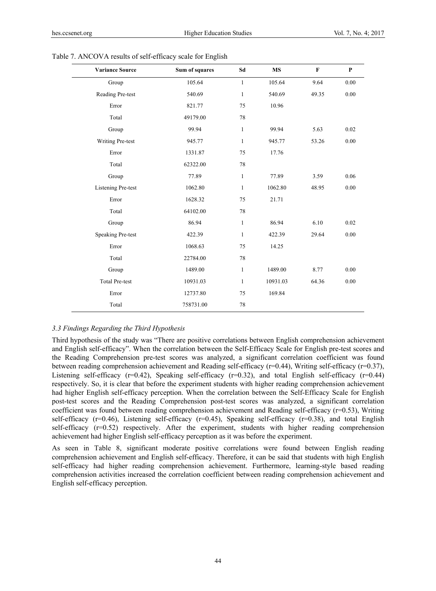| Sum of squares | Sd           | <b>MS</b> | $\bf F$ | $\mathbf P$ |
|----------------|--------------|-----------|---------|-------------|
| 105.64         | $\mathbf{1}$ | 105.64    | 9.64    | 0.00        |
| 540.69         | $\mathbf{1}$ | 540.69    | 49.35   | 0.00        |
| 821.77         | 75           | 10.96     |         |             |
| 49179.00       | 78           |           |         |             |
| 99.94          | $\mathbf{1}$ | 99.94     | 5.63    | 0.02        |
| 945.77         | $\mathbf{1}$ | 945.77    | 53.26   | 0.00        |
| 1331.87        | 75           | 17.76     |         |             |
| 62322.00       | 78           |           |         |             |
| 77.89          | $\mathbf{1}$ | 77.89     | 3.59    | 0.06        |
| 1062.80        | $\mathbf{1}$ | 1062.80   | 48.95   | 0.00        |
| 1628.32        | 75           | 21.71     |         |             |
| 64102.00       | 78           |           |         |             |
| 86.94          | $\mathbf{1}$ | 86.94     | 6.10    | 0.02        |
| 422.39         | $\mathbf{1}$ | 422.39    | 29.64   | 0.00        |
| 1068.63        | 75           | 14.25     |         |             |
| 22784.00       | 78           |           |         |             |
| 1489.00        | $\mathbf{1}$ | 1489.00   | 8.77    | 0.00        |
| 10931.03       | $\mathbf{1}$ | 10931.03  | 64.36   | 0.00        |
| 12737.80       | 75           | 169.84    |         |             |
| 758731.00      | 78           |           |         |             |
|                |              |           |         |             |

Table 7. ANCOVA results of self-efficacy scale for English

## *3.3 Findings Regarding the Third Hypothesis*

Third hypothesis of the study was "There are positive correlations between English comprehension achievement and English self-efficacy". When the correlation between the Self-Efficacy Scale for English pre-test scores and the Reading Comprehension pre-test scores was analyzed, a significant correlation coefficient was found between reading comprehension achievement and Reading self-efficacy (r=0.44), Writing self-efficacy (r=0.37), Listening self-efficacy (r=0.42), Speaking self-efficacy (r=0.32), and total English self-efficacy (r=0.44) respectively. So, it is clear that before the experiment students with higher reading comprehension achievement had higher English self-efficacy perception. When the correlation between the Self-Efficacy Scale for English post-test scores and the Reading Comprehension post-test scores was analyzed, a significant correlation coefficient was found between reading comprehension achievement and Reading self-efficacy (r=0.53), Writing self-efficacy ( $r=0.46$ ), Listening self-efficacy ( $r=0.45$ ), Speaking self-efficacy ( $r=0.38$ ), and total English self-efficacy (r=0.52) respectively. After the experiment, students with higher reading comprehension achievement had higher English self-efficacy perception as it was before the experiment.

As seen in Table 8, significant moderate positive correlations were found between English reading comprehension achievement and English self-efficacy. Therefore, it can be said that students with high English self-efficacy had higher reading comprehension achievement. Furthermore, learning-style based reading comprehension activities increased the correlation coefficient between reading comprehension achievement and English self-efficacy perception.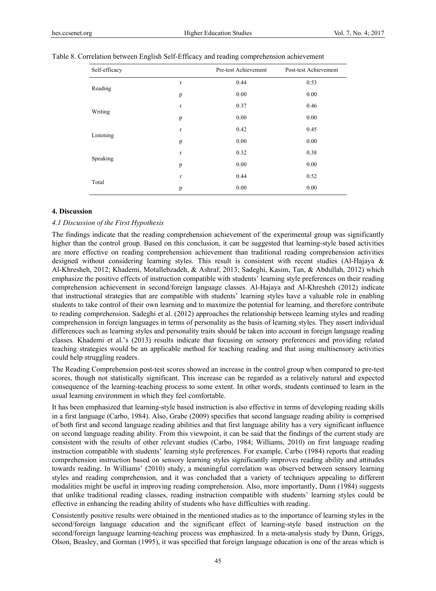| Self-efficacy |              | Pre-test Achievement | Post-test Achievement |
|---------------|--------------|----------------------|-----------------------|
|               | r            | 0.44                 | 0.53                  |
| Reading       | p            | 0.00                 | 0.00                  |
| Writing       | $\mathbf{r}$ | 0.37                 | 0.46                  |
|               | p            | 0.00                 | 0.00                  |
|               | r            | 0.42                 | 0.45                  |
| Listening     | p            | 0.00                 | 0.00                  |
|               | $\mathbf{r}$ | 0.32                 | 0.38                  |
| Speaking      | p            | 0.00                 | 0.00                  |
| Total         | $\mathbf{r}$ | 0.44                 | 0.52                  |
|               | p            | 0.00                 | 0.00                  |

|  | Table 8. Correlation between English Self-Efficacy and reading comprehension achievement |
|--|------------------------------------------------------------------------------------------|
|  |                                                                                          |

## **4. Discussion**

#### *4.1 Discussion of the First Hypothesis*

The findings indicate that the reading comprehension achievement of the experimental group was significantly higher than the control group. Based on this conclusion, it can be suggested that learning-style based activities are more effective on reading comprehension achievement than traditional reading comprehension activities designed without considering learning styles. This result is consistent with recent studies (Al-Hajaya & Al-Khresheh, 2012; Khademi, Motallebzadeh, & Ashraf, 2013; Sadeghi, Kasim, Tan, & Abdullah, 2012) which emphasize the positive effects of instruction compatible with students' learning style preferences on their reading comprehension achievement in second/foreign language classes. Al-Hajaya and Al-Khresheh (2012) indicate that instructional strategies that are compatible with students' learning styles have a valuable role in enabling students to take control of their own learning and to maximize the potential for learning, and therefore contribute to reading comprehension. Sadeghi et al. (2012) approaches the relationship between learning styles and reading comprehension in foreign languages in terms of personality as the basis of learning styles. They assert individual differences such as learning styles and personality traits should be taken into account in foreign language reading classes. Khademi et al.'s (2013) results indicate that focusing on sensory preferences and providing related teaching strategies would be an applicable method for teaching reading and that using multisensory activities could help struggling readers.

The Reading Comprehension post-test scores showed an increase in the control group when compared to pre-test scores, though not statistically significant. This increase can be regarded as a relatively natural and expected consequence of the learning-teaching process to some extent. In other words, students continued to learn in the usual learning environment in which they feel comfortable.

It has been emphasized that learning-style based instruction is also effective in terms of developing reading skills in a first language (Carbo, 1984). Also, Grabe (2009) specifies that second language reading ability is comprised of both first and second language reading abilities and that first language ability has a very significant influence on second language reading ability. From this viewpoint, it can be said that the findings of the current study are consistent with the results of other relevant studies (Carbo, 1984; Williams, 2010) on first language reading instruction compatible with students' learning style preferences. For example, Carbo (1984) reports that reading comprehension instruction based on sensory learning styles significantly improves reading ability and attitudes towards reading. In Williams' (2010) study, a meaningful correlation was observed between sensory learning styles and reading comprehension, and it was concluded that a variety of techniques appealing to different modalities might be useful in improving reading comprehension. Also, more importantly, Dunn (1984) suggests that unlike traditional reading classes, reading instruction compatible with students' learning styles could be effective in enhancing the reading ability of students who have difficulties with reading.

Consistently positive results were obtained in the mentioned studies as to the importance of learning styles in the second/foreign language education and the significant effect of learning-style based instruction on the second/foreign language learning-teaching process was emphasized. In a meta-analysis study by Dunn, Griggs, Olson, Beasley, and Gorman (1995), it was specified that foreign language education is one of the areas which is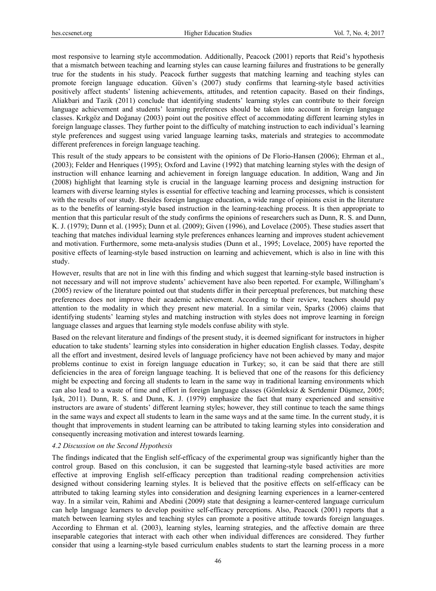most responsive to learning style accommodation. Additionally, Peacock (2001) reports that Reid's hypothesis that a mismatch between teaching and learning styles can cause learning failures and frustrations to be generally true for the students in his study. Peacock further suggests that matching learning and teaching styles can promote foreign language education. Güven's (2007) study confirms that learning-style based activities positively affect students' listening achievements, attitudes, and retention capacity. Based on their findings, Aliakbari and Tazik (2011) conclude that identifying students' learning styles can contribute to their foreign language achievement and students' learning preferences should be taken into account in foreign language classes. Kırkgöz and Doğanay (2003) point out the positive effect of accommodating different learning styles in foreign language classes. They further point to the difficulty of matching instruction to each individual's learning style preferences and suggest using varied language learning tasks, materials and strategies to accommodate different preferences in foreign language teaching.

This result of the study appears to be consistent with the opinions of De Florio-Hansen (2006); Ehrman et al., (2003); Felder and Henriques (1995); Oxford and Lavine (1992) that matching learning styles with the design of instruction will enhance learning and achievement in foreign language education. In addition, Wang and Jin (2008) highlight that learning style is crucial in the language learning process and designing instruction for learners with diverse learning styles is essential for effective teaching and learning processes, which is consistent with the results of our study. Besides foreign language education, a wide range of opinions exist in the literature as to the benefits of learning-style based instruction in the learning-teaching process. It is then appropriate to mention that this particular result of the study confirms the opinions of researchers such as Dunn, R. S. and Dunn, K. J. (1979); Dunn et al. (1995); Dunn et al. (2009); Given (1996), and Lovelace (2005). These studies assert that teaching that matches individual learning style preferences enhances learning and improves student achievement and motivation. Furthermore, some meta-analysis studies (Dunn et al., 1995; Lovelace, 2005) have reported the positive effects of learning-style based instruction on learning and achievement, which is also in line with this study.

However, results that are not in line with this finding and which suggest that learning-style based instruction is not necessary and will not improve students' achievement have also been reported. For example, Willingham's (2005) review of the literature pointed out that students differ in their perceptual preferences, but matching these preferences does not improve their academic achievement. According to their review, teachers should pay attention to the modality in which they present new material. In a similar vein, Sparks (2006) claims that identifying students' learning styles and matching instruction with styles does not improve learning in foreign language classes and argues that learning style models confuse ability with style.

Based on the relevant literature and findings of the present study, it is deemed significant for instructors in higher education to take students' learning styles into consideration in higher education English classes. Today, despite all the effort and investment, desired levels of language proficiency have not been achieved by many and major problems continue to exist in foreign language education in Turkey; so, it can be said that there are still deficiencies in the area of foreign language teaching. It is believed that one of the reasons for this deficiency might be expecting and forcing all students to learn in the same way in traditional learning environments which can also lead to a waste of time and effort in foreign language classes (Gömleksiz & Sertdemir Düşmez, 2005; Işık, 2011). Dunn, R. S. and Dunn, K. J. (1979) emphasize the fact that many experienced and sensitive instructors are aware of students' different learning styles; however, they still continue to teach the same things in the same ways and expect all students to learn in the same ways and at the same time. In the current study, it is thought that improvements in student learning can be attributed to taking learning styles into consideration and consequently increasing motivation and interest towards learning.

## *4.2 Discussion on the Second Hypothesis*

The findings indicated that the English self-efficacy of the experimental group was significantly higher than the control group. Based on this conclusion, it can be suggested that learning-style based activities are more effective at improving English self-efficacy perception than traditional reading comprehension activities designed without considering learning styles. It is believed that the positive effects on self-efficacy can be attributed to taking learning styles into consideration and designing learning experiences in a learner-centered way. In a similar vein, Rahimi and Abedini (2009) state that designing a learner-centered language curriculum can help language learners to develop positive self-efficacy perceptions. Also, Peacock (2001) reports that a match between learning styles and teaching styles can promote a positive attitude towards foreign languages. According to Ehrman et al. (2003), learning styles, learning strategies, and the affective domain are three inseparable categories that interact with each other when individual differences are considered. They further consider that using a learning-style based curriculum enables students to start the learning process in a more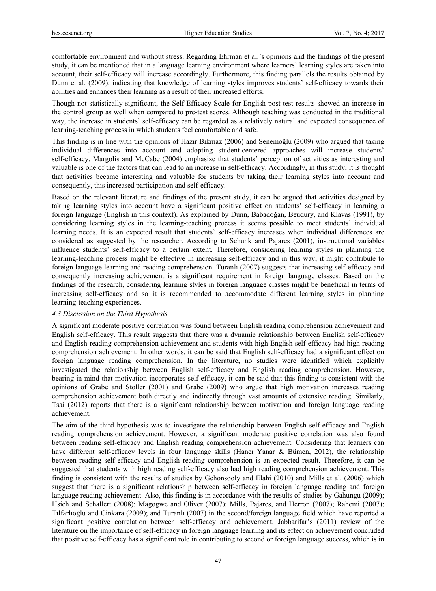comfortable environment and without stress. Regarding Ehrman et al.'s opinions and the findings of the present study, it can be mentioned that in a language learning environment where learners' learning styles are taken into account, their self-efficacy will increase accordingly. Furthermore, this finding parallels the results obtained by Dunn et al. (2009), indicating that knowledge of learning styles improves students' self-efficacy towards their abilities and enhances their learning as a result of their increased efforts.

Though not statistically significant, the Self-Efficacy Scale for English post-test results showed an increase in the control group as well when compared to pre-test scores. Although teaching was conducted in the traditional way, the increase in students' self-efficacy can be regarded as a relatively natural and expected consequence of learning-teaching process in which students feel comfortable and safe.

This finding is in line with the opinions of Hazır Bıkmaz (2006) and Senemoğlu (2009) who argued that taking individual differences into account and adopting student-centered approaches will increase students' self-efficacy. Margolis and McCabe (2004) emphasize that students' perception of activities as interesting and valuable is one of the factors that can lead to an increase in self-efficacy. Accordingly, in this study, it is thought that activities became interesting and valuable for students by taking their learning styles into account and consequently, this increased participation and self-efficacy.

Based on the relevant literature and findings of the present study, it can be argued that activities designed by taking learning styles into account have a significant positive effect on students' self-efficacy in learning a foreign language (English in this context). As explained by Dunn, Babadoğan, Beudury, and Klavas (1991), by considering learning styles in the learning-teaching process it seems possible to meet students' individual learning needs. It is an expected result that students' self-efficacy increases when individual differences are considered as suggested by the researcher. According to Schunk and Pajares (2001), instructional variables influence students' self-efficacy to a certain extent. Therefore, considering learning styles in planning the learning-teaching process might be effective in increasing self-efficacy and in this way, it might contribute to foreign language learning and reading comprehension. Turanlı (2007) suggests that increasing self-efficacy and consequently increasing achievement is a significant requirement in foreign language classes. Based on the findings of the research, considering learning styles in foreign language classes might be beneficial in terms of increasing self-efficacy and so it is recommended to accommodate different learning styles in planning learning-teaching experiences.

#### *4.3 Discussion on the Third Hypothesis*

A significant moderate positive correlation was found between English reading comprehension achievement and English self-efficacy. This result suggests that there was a dynamic relationship between English self-efficacy and English reading comprehension achievement and students with high English self-efficacy had high reading comprehension achievement. In other words, it can be said that English self-efficacy had a significant effect on foreign language reading comprehension. In the literature, no studies were identified which explicitly investigated the relationship between English self-efficacy and English reading comprehension. However, bearing in mind that motivation incorporates self-efficacy, it can be said that this finding is consistent with the opinions of Grabe and Stoller (2001) and Grabe (2009) who argue that high motivation increases reading comprehension achievement both directly and indirectly through vast amounts of extensive reading. Similarly, Tsai (2012) reports that there is a significant relationship between motivation and foreign language reading achievement.

The aim of the third hypothesis was to investigate the relationship between English self-efficacy and English reading comprehension achievement. However, a significant moderate positive correlation was also found between reading self-efficacy and English reading comprehension achievement. Considering that learners can have different self-efficacy levels in four language skills (Hancı Yanar & Bümen, 2012), the relationship between reading self-efficacy and English reading comprehension is an expected result. Therefore, it can be suggested that students with high reading self-efficacy also had high reading comprehension achievement. This finding is consistent with the results of studies by Gehonsooly and Elahi (2010) and Mills et al. (2006) which suggest that there is a significant relationship between self-efficacy in foreign language reading and foreign language reading achievement. Also, this finding is in accordance with the results of studies by Gahungu (2009); Hsieh and Schallert (2008); Magogwe and Oliver (2007); Mills, Pajares, and Herron (2007); Rahemi (2007); Tılfarlıoğlu and Cinkara (2009); and Turanlı (2007) in the second/foreign language field which have reported a significant positive correlation between self-efficacy and achievement. Jabbarifar's (2011) review of the literature on the importance of self-efficacy in foreign language learning and its effect on achievement concluded that positive self-efficacy has a significant role in contributing to second or foreign language success, which is in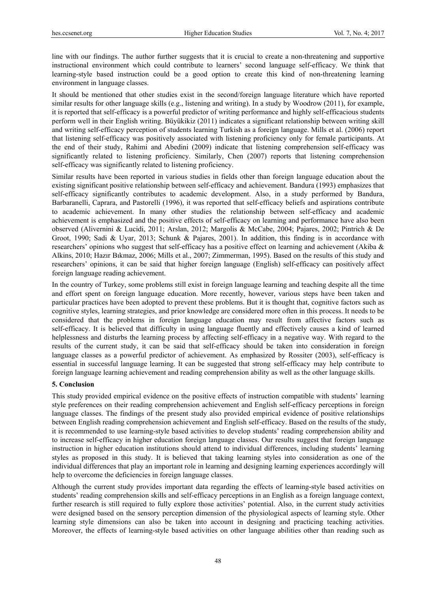line with our findings. The author further suggests that it is crucial to create a non-threatening and supportive instructional environment which could contribute to learners' second language self-efficacy. We think that learning-style based instruction could be a good option to create this kind of non-threatening learning environment in language classes.

It should be mentioned that other studies exist in the second/foreign language literature which have reported similar results for other language skills (e.g., listening and writing). In a study by Woodrow (2011), for example, it is reported that self-efficacy is a powerful predictor of writing performance and highly self-efficacious students perform well in their English writing. Büyükikiz (2011) indicates a significant relationship between writing skill and writing self-efficacy perception of students learning Turkish as a foreign language. Mills et al. (2006) report that listening self-efficacy was positively associated with listening proficiency only for female participants. At the end of their study, Rahimi and Abedini (2009) indicate that listening comprehension self-efficacy was significantly related to listening proficiency. Similarly, Chen (2007) reports that listening comprehension self-efficacy was significantly related to listening proficiency.

Similar results have been reported in various studies in fields other than foreign language education about the existing significant positive relationship between self-efficacy and achievement. Bandura (1993) emphasizes that self-efficacy significantly contributes to academic development. Also, in a study performed by Bandura, Barbaranelli, Caprara, and Pastorelli (1996), it was reported that self-efficacy beliefs and aspirations contribute to academic achievement. In many other studies the relationship between self-efficacy and academic achievement is emphasized and the positive effects of self-efficacy on learning and performance have also been observed (Alivernini & Lucidi, 2011; Arslan, 2012; Margolis & McCabe, 2004; Pajares, 2002; Pintrich & De Groot, 1990; Sadi & Uyar, 2013; Schunk & Pajares, 2001). In addition, this finding is in accordance with researchers' opinions who suggest that self-efficacy has a positive effect on learning and achievement (Akiba & Alkins, 2010; Hazır Bıkmaz, 2006; Mills et al., 2007; Zimmerman, 1995). Based on the results of this study and researchers' opinions, it can be said that higher foreign language (English) self-efficacy can positively affect foreign language reading achievement.

In the country of Turkey, some problems still exist in foreign language learning and teaching despite all the time and effort spent on foreign language education. More recently, however, various steps have been taken and particular practices have been adopted to prevent these problems. But it is thought that, cognitive factors such as cognitive styles, learning strategies, and prior knowledge are considered more often in this process. It needs to be considered that the problems in foreign language education may result from affective factors such as self-efficacy. It is believed that difficulty in using language fluently and effectively causes a kind of learned helplessness and disturbs the learning process by affecting self-efficacy in a negative way. With regard to the results of the current study, it can be said that self-efficacy should be taken into consideration in foreign language classes as a powerful predictor of achievement. As emphasized by Rossiter (2003), self-efficacy is essential in successful language learning. It can be suggested that strong self-efficacy may help contribute to foreign language learning achievement and reading comprehension ability as well as the other language skills.

#### **5. Conclusion**

This study provided empirical evidence on the positive effects of instruction compatible with students' learning style preferences on their reading comprehension achievement and English self-efficacy perceptions in foreign language classes. The findings of the present study also provided empirical evidence of positive relationships between English reading comprehension achievement and English self-efficacy. Based on the results of the study, it is recommended to use learning-style based activities to develop students' reading comprehension ability and to increase self-efficacy in higher education foreign language classes. Our results suggest that foreign language instruction in higher education institutions should attend to individual differences, including students' learning styles as proposed in this study. It is believed that taking learning styles into consideration as one of the individual differences that play an important role in learning and designing learning experiences accordingly will help to overcome the deficiencies in foreign language classes.

Although the current study provides important data regarding the effects of learning-style based activities on students' reading comprehension skills and self-efficacy perceptions in an English as a foreign language context, further research is still required to fully explore those activities' potential. Also, in the current study activities were designed based on the sensory perception dimension of the physiological aspects of learning style. Other learning style dimensions can also be taken into account in designing and practicing teaching activities. Moreover, the effects of learning-style based activities on other language abilities other than reading such as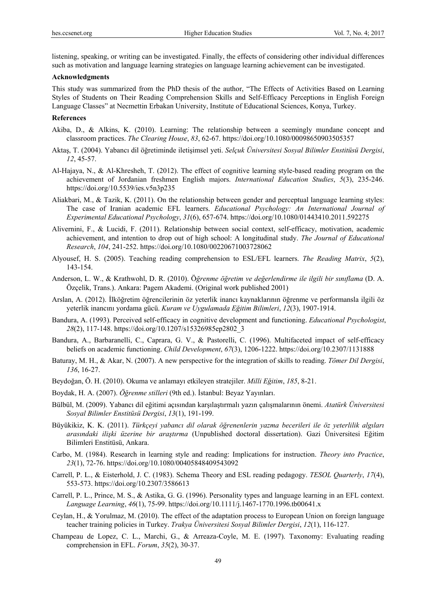listening, speaking, or writing can be investigated. Finally, the effects of considering other individual differences such as motivation and language learning strategies on language learning achievement can be investigated.

#### **Acknowledgments**

This study was summarized from the PhD thesis of the author, "The Effects of Activities Based on Learning Styles of Students on Their Reading Comprehension Skills and Self-Efficacy Perceptions in English Foreign Language Classes" at Necmettin Erbakan University, Institute of Educational Sciences, Konya, Turkey.

#### **References**

- Akiba, D., & Alkins, K. (2010). Learning: The relationship between a seemingly mundane concept and classroom practices. *The Clearing House*, *83*, 62-67. https://doi.org/10.1080/00098650903505357
- Aktaş, T. (2004). Yabancı dil öğretiminde iletişimsel yeti. *Selçuk Üniversitesi Sosyal Bilimler Enstitüsü Dergisi*, *12*, 45-57.
- Al-Hajaya, N., & Al-Khresheh, T. (2012). The effect of cognitive learning style-based reading program on the achievement of Jordanian freshmen English majors. *International Education Studies*, *5*(3), 235-246. https://doi.org/10.5539/ies.v5n3p235
- Aliakbari, M., & Tazik, K. (2011). On the relationship between gender and perceptual language learning styles: The case of Iranian academic EFL learners. *Educational Psychology: An International Journal of Experimental Educational Psychology*, *31*(6), 657-674. https://doi.org/10.1080/01443410.2011.592275
- Alivernini, F., & Lucidi, F. (2011). Relationship between social context, self-efficacy, motivation, academic achievement, and intention to drop out of high school: A longitudinal study. *The Journal of Educational Research*, *104*, 241-252. https://doi.org/10.1080/00220671003728062
- Alyousef, H. S. (2005). Teaching reading comprehension to ESL/EFL learners. *The Reading Matrix*, *5*(2), 143-154.
- Anderson, L. W., & Krathwohl, D. R. (2010). Ö*ğrenme öğretim ve değerlendirme ile ilgili bir sınıflama* (D. A. Özçelik, Trans.). Ankara: Pagem Akademi. (Original work published 2001)
- Arslan, A. (2012). İlköğretim öğrencilerinin öz yeterlik inancı kaynaklarının öğrenme ve performansla ilgili öz yeterlik inancını yordama gücü. *Kuram ve Uygulamada Eğitim Bilimleri*, *12*(3), 1907-1914.
- Bandura, A. (1993). Perceived self-efficacy in cognitive development and functioning. *Educational Psychologist*, *28*(2), 117-148. https://doi.org/10.1207/s15326985ep2802\_3
- Bandura, A., Barbaranelli, C., Caprara, G. V., & Pastorelli, C. (1996). Multifaceted impact of self-efficacy beliefs on academic functioning. *Child Development*, *67*(3), 1206-1222. https://doi.org/10.2307/1131888
- Baturay, M. H., & Akar, N. (2007). A new perspective for the integration of skills to reading. *Tömer Dil Dergisi*, *136*, 16-27.
- Beydoğan, Ö. H. (2010). Okuma ve anlamayı etkileyen stratejiler. *Milli Eğitim*, *185*, 8-21.
- Boydak, H. A. (2007). *Öğrenme stilleri* (9th ed.). İstanbul: Beyaz Yayınları.
- Bülbül, M. (2009). Yabancı dil eğitimi açısından karşılaştırmalı yazın çalışmalarının önemi. *Atatürk Üniversitesi Sosyal Bilimler Enstitüsü Dergisi*, *13*(1), 191-199.
- Büyükikiz, K. K. (2011). *Türkçeyi yabancı dil olarak öğrenenlerin yazma becerileri ile öz yeterlilik algıları arasındaki ilişki üzerine bir araştırma* (Unpublished doctoral dissertation). Gazi Üniversitesi Eğitim Bilimleri Enstitüsü, Ankara.
- Carbo, M. (1984). Research in learning style and reading: Implications for instruction. *Theory into Practice*, *23*(1), 72-76. https://doi.org/10.1080/00405848409543092
- Carrell, P. L., & Eisterhold, J. C. (1983). Schema Theory and ESL reading pedagogy. *TESOL Quarterly*, *17*(4), 553-573. https://doi.org/10.2307/3586613
- Carrell, P. L., Prince, M. S., & Astika, G. G. (1996). Personality types and language learning in an EFL context. *Language Learning*, *46*(1), 75-99. https://doi.org/10.1111/j.1467-1770.1996.tb00641.x
- Ceylan, H., & Yorulmaz, M. (2010). The effect of the adaptation process to European Union on foreign language teacher training policies in Turkey. *Trakya Üniversitesi Sosyal Bilimler Dergisi*, *12*(1), 116-127.
- Champeau de Lopez, C. L., Marchi, G., & Arreaza-Coyle, M. E. (1997). Taxonomy: Evaluating reading comprehension in EFL. *Forum*, *35*(2), 30-37.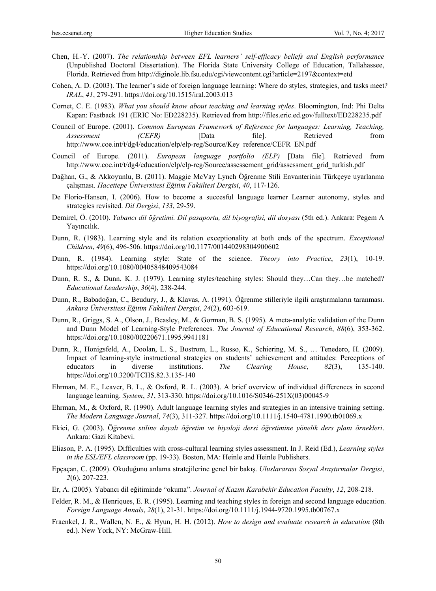- Chen, H.-Y. (2007). *The relationship between EFL learners' self-efficacy beliefs and English performance* (Unpublished Doctoral Dissertation). The Florida State University College of Education, Tallahassee, Florida. Retrieved from http://diginole.lib.fsu.edu/cgi/viewcontent.cgi?article=2197&context=etd
- Cohen, A. D. (2003). The learner's side of foreign language learning: Where do styles, strategies, and tasks meet? *IRAL*, *41*, 279-291. https://doi.org/10.1515/iral.2003.013
- Cornet, C. E. (1983). *What you should know about teaching and learning styles*. Bloomington, Ind: Phi Delta Kapan: Fastback 191 (ERIC No: ED228235). Retrieved from http://files.eric.ed.gov/fulltext/ED228235.pdf
- Council of Europe. (2001). *Common European Framework of Reference for languages: Learning, Teaching, Assessment (CEFR)* [Data file]. Retrieved from http://www.coe.int/t/dg4/education/elp/elp-reg/Source/Key\_reference/CEFR\_EN.pdf
- Council of Europe. (2011). *European language portfolio (ELP)* [Data file]. Retrieved from http://www.coe.int/t/dg4/education/elp/elp-reg/Source/assessement\_grid/assessment\_grid\_turkish.pdf
- Dağhan, G., & Akkoyunlu, B. (2011). Maggie McVay Lynch Öğrenme Stili Envanterinin Türkçeye uyarlanma çalışması. *Hacettepe Üniversitesi Eğitim Fakültesi Dergisi*, *40*, 117-126.
- De Florio-Hansen, I. (2006). How to become a succesful language learner Learner autonomy, styles and strategies revisited. *Dil Dergisi*, *133*, 29-59.
- Demirel, Ö. (2010). *Yabancı dil öğretimi. Dil pasaportu, dil biyografisi, dil dosyası* (5th ed.). Ankara: Pegem A Yayıncılık.
- Dunn, R. (1983). Learning style and its relation exceptionality at both ends of the spectrum. *Exceptional Children*, *49*(6), 496-506. https://doi.org/10.1177/001440298304900602
- Dunn, R. (1984). Learning style: State of the science. *Theory into Practice*, *23*(1), 10-19. https://doi.org/10.1080/00405848409543084
- Dunn, R. S., & Dunn, K. J. (1979). Learning styles/teaching styles: Should they…Can they…be matched? *Educational Leadership*, *36*(4), 238-244.
- Dunn, R., Babadoğan, C., Beudury, J., & Klavas, A. (1991). Öğrenme stilleriyle ilgili araştırmaların taranması. *Ankara Üniversitesi Eğitim Fakültesi Dergisi*, *24*(2), 603-619.
- Dunn, R., Griggs, S. A., Olson, J., Beasley, M., & Gorman, B. S. (1995). A meta-analytic validation of the Dunn and Dunn Model of Learning-Style Preferences. *The Journal of Educational Research*, *88*(6), 353-362. https://doi.org/10.1080/00220671.1995.9941181
- Dunn, R., Honigsfeld, A., Doolan, L. S., Bostrom, L., Russo, K., Schiering, M. S., … Tenedero, H. (2009). Impact of learning-style instructional strategies on students' achievement and attitudes: Perceptions of educators in diverse institutions. *The Clearing House*, *82*(3), 135-140. https://doi.org/10.3200/TCHS.82.3.135-140
- Ehrman, M. E., Leaver, B. L., & Oxford, R. L. (2003). A brief overview of individual differences in second language learning. *System*, *31*, 313-330. https://doi.org/10.1016/S0346-251X(03)00045-9
- Ehrman, M., & Oxford, R. (1990). Adult language learning styles and strategies in an intensive training setting. *The Modern Language Journal*, *74*(3), 311-327. https://doi.org/10.1111/j.1540-4781.1990.tb01069.x
- Ekici, G. (2003). Ö*ğrenme stiline dayalı öğretim ve biyoloji dersi öğretimine yönelik ders planı örnekleri*. Ankara: Gazi Kitabevi.
- Eliason, P. A. (1995). Difficulties with cross-cultural learning styles assessment. In J. Reid (Ed.), *Learning styles in the ESL/EFL classroom* (pp. 19-33). Boston, MA: Heinle and Heinle Publishers.
- Epçaçan, C. (2009). Okuduğunu anlama stratejilerine genel bir bakış. *Uluslararası Sosyal Araştırmalar Dergisi*, *2*(6), 207-223.
- Er, A. (2005). Yabancı dil eğitiminde "okuma". *Journal of Kazım Karabekir Education Faculty*, *12*, 208-218.
- Felder, R. M., & Henriques, E. R. (1995). Learning and teaching styles in foreign and second language education. *Foreign Language Annals*, *28*(1), 21-31. https://doi.org/10.1111/j.1944-9720.1995.tb00767.x
- Fraenkel, J. R., Wallen, N. E., & Hyun, H. H. (2012). *How to design and evaluate research in education* (8th ed.). New York, NY: McGraw-Hill.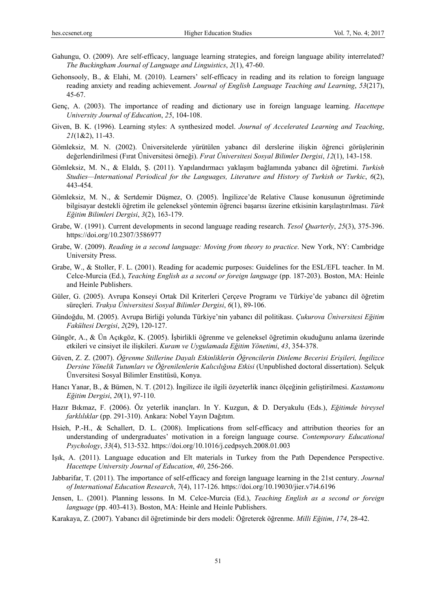- Gahungu, O. (2009). Are self-efficacy, language learning strategies, and foreign language ability interrelated? *The Buckingham Journal of Language and Linguistics*, *2*(1), 47-60.
- Gehonsooly, B., & Elahi, M. (2010). Learners' self-efficacy in reading and its relation to foreign language reading anxiety and reading achievement. *Journal of English Language Teaching and Learning*, *53*(217), 45-67.
- Genç, A. (2003). The importance of reading and dictionary use in foreign language learning. *Hacettepe University Journal of Education*, *25*, 104-108.
- Given, B. K. (1996). Learning styles: A synthesized model. *Journal of Accelerated Learning and Teaching*, *21*(1&2), 11-43.
- Gömleksiz, M. N. (2002). Üniversitelerde yürütülen yabancı dil derslerine ilişkin öğrenci görüşlerinin değerlendirilmesi (Fırat Üniversitesi örneği). *Fırat Üniversitesi Sosyal Bilimler Dergisi*, *12*(1), 143-158.
- Gömleksiz, M. N., & Elaldı, Ş. (2011). Yapılandırmacı yaklaşım bağlamında yabancı dil öğretimi. *Turkish Studies—International Periodical for the Languages, Literature and History of Turkish or Turkic*, *6*(2), 443-454.
- Gömleksiz, M. N., & Sertdemir Düşmez, O. (2005). İngilizce'de Relative Clause konusunun öğretiminde bilgisayar destekli öğretim ile geleneksel yöntemin öğrenci başarısı üzerine etkisinin karşılaştırılması. *Türk Eğitim Bilimleri Dergisi*, *3*(2), 163-179.
- Grabe, W. (1991). Current developments in second language reading research. *Tesol Quarterly*, *25*(3), 375-396. https://doi.org/10.2307/3586977
- Grabe, W. (2009). *Reading in a second language: Moving from theory to practice*. New York, NY: Cambridge University Press.
- Grabe, W., & Stoller, F. L. (2001). Reading for academic purposes: Guidelines for the ESL/EFL teacher. In M. Celce-Murcia (Ed.), *Teaching English as a second or foreign language* (pp. 187-203). Boston, MA: Heinle and Heinle Publishers.
- Güler, G. (2005). Avrupa Konseyi Ortak Dil Kriterleri Çerçeve Programı ve Türkiye'de yabancı dil öğretim süreçleri. *Trakya Üniversitesi Sosyal Bilimler Dergisi*, *6*(1), 89-106.
- Gündoğdu, M. (2005). Avrupa Birliği yolunda Türkiye'nin yabancı dil politikası. *Çukurova Üniversitesi Eğitim Fakültesi Dergisi*, *2*(29), 120-127.
- Güngör, A., & Ün Açıkgöz, K. (2005). İşbirlikli öğrenme ve geleneksel öğretimin okuduğunu anlama üzerinde etkileri ve cinsiyet ile ilişkileri. *Kuram ve Uygulamada Eğitim Yönetimi*, *43*, 354-378.
- Güven, Z. Z. (2007). *Öğrenme Stillerine Dayalı Etkinliklerin Öğrencilerin Dinleme Becerisi Erişileri, İngilizce Dersine Yönelik Tutumları ve Öğrenilenlerin Kalıcılığına Etkisi* (Unpublished doctoral dissertation). Selçuk Ünversitesi Sosyal Bilimler Enstitüsü, Konya.
- Hancı Yanar, B., & Bümen, N. T. (2012). İngilizce ile ilgili özyeterlik inancı ölçeğinin geliştirilmesi. *Kastamonu Eğitim Dergisi*, *20*(1), 97-110.
- Hazır Bıkmaz, F. (2006). Öz yeterlik inançları. In Y. Kuzgun, & D. Deryakulu (Eds.), *Eğitimde bireysel farklılıklar* (pp. 291-310). Ankara: Nobel Yayın Dağıtım.
- Hsieh, P.-H., & Schallert, D. L. (2008). Implications from self-efficacy and attribution theories for an understanding of undergraduates' motivation in a foreign language course. *Contemporary Educational Psychology*, *33*(4), 513-532. https://doi.org/10.1016/j.cedpsych.2008.01.003
- Işık, A. (2011). Language education and Elt materials in Turkey from the Path Dependence Perspective. *Hacettepe University Journal of Education*, *40*, 256-266.
- Jabbarifar, T. (2011). The importance of self-efficacy and foreign language learning in the 21st century. *Journal of International Education Research*, *7*(4), 117-126. https://doi.org/10.19030/jier.v7i4.6196
- Jensen, L. (2001). Planning lessons. In M. Celce-Murcia (Ed.), *Teaching English as a second or foreign language* (pp. 403-413). Boston, MA: Heinle and Heinle Publishers.
- Karakaya, Z. (2007). Yabancı dil öğretiminde bir ders modeli: Öğreterek öğrenme. *Milli Eğitim*, *174*, 28-42.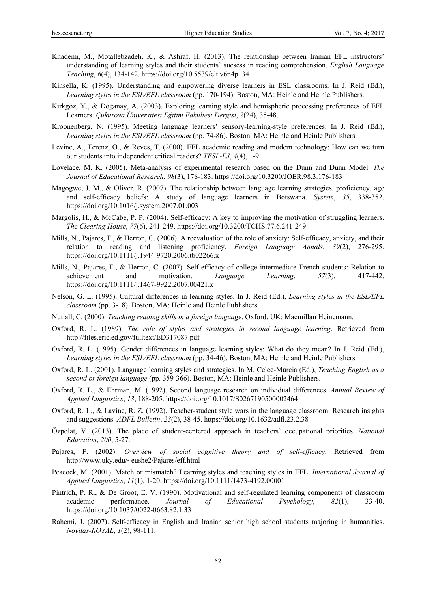- Khademi, M., Motallebzadeh, K., & Ashraf, H. (2013). The relationship between Iranian EFL instructors' understanding of learning styles and their students' sucsess in reading comprehension. *English Language Teaching*, *6*(4), 134-142. https://doi.org/10.5539/elt.v6n4p134
- Kinsella, K. (1995). Understanding and empowering diverse learners in ESL classrooms. In J. Reid (Ed.), *Learning styles in the ESL/EFL classroom* (pp. 170-194). Boston, MA: Heinle and Heinle Publishers.
- Kırkgöz, Y., & Doğanay, A. (2003). Exploring learning style and hemispheric processing preferences of EFL Learners. *Çukurova Üniversitesi Eğitim Fakültesi Dergisi*, *2*(24), 35-48.
- Kroonenberg, N. (1995). Meeting language learners' sensory-learning-style preferences. In J. Reid (Ed.), *Learning styles in the ESL/EFL classroom* (pp. 74-86). Boston, MA: Heinle and Heinle Publishers.
- Levine, A., Ferenz, O., & Reves, T. (2000). EFL academic reading and modern technology: How can we turn our students into independent critical readers? *TESL-EJ*, *4*(4), 1-9.
- Lovelace, M. K. (2005). Meta-analysis of experimental research based on the Dunn and Dunn Model. *The Journal of Educational Research*, *98*(3), 176-183. https://doi.org/10.3200/JOER.98.3.176-183
- Magogwe, J. M., & Oliver, R. (2007). The relationship between language learning strategies, proficiency, age and self-efficacy beliefs: A study of language learners in Botswana. *System*, *35*, 338-352. https://doi.org/10.1016/j.system.2007.01.003
- Margolis, H., & McCabe, P. P. (2004). Self-efficacy: A key to improving the motivation of struggling learners. *The Clearing House*, *77*(6), 241-249. https://doi.org/10.3200/TCHS.77.6.241-249
- Mills, N., Pajares, F., & Herron, C. (2006). A reevaluation of the role of anxiety: Self-efficacy, anxiety, and their relation to reading and listening proficiency. *Foreign Language Annals*, *39*(2), 276-295. https://doi.org/10.1111/j.1944-9720.2006.tb02266.x
- Mills, N., Pajares, F., & Herron, C. (2007). Self-efficacy of college intermediate French students: Relation to achievement and motivation. *Language Learning*, *57*(3), 417-442. https://doi.org/10.1111/j.1467-9922.2007.00421.x
- Nelson, G. L. (1995). Cultural differences in learning styles. In J. Reid (Ed.), *Learning styles in the ESL/EFL classroom* (pp. 3-18). Boston, MA: Heinle and Heinle Publishers.
- Nuttall, C. (2000). *Teaching reading skills in a foreign language*. Oxford, UK: Macmillan Heinemann.
- Oxford, R. L. (1989). *The role of styles and strategies in second language learning*. Retrieved from http://files.eric.ed.gov/fulltext/ED317087.pdf
- Oxford, R. L. (1995). Gender differences in language learning styles: What do they mean? In J. Reid (Ed.), *Learning styles in the ESL/EFL classroom* (pp. 34-46). Boston, MA: Heinle and Heinle Publishers.
- Oxford, R. L. (2001). Language learning styles and strategies. In M. Celce-Murcia (Ed.), *Teaching English as a second or foreign language* (pp. 359-366). Boston, MA: Heinle and Heinle Publishers.
- Oxford, R. L., & Ehrman, M. (1992). Second language research on individual differences. *Annual Review of Applied Linguistics*, *13*, 188-205. https://doi.org/10.1017/S0267190500002464
- Oxford, R. L., & Lavine, R. Z. (1992). Teacher-student style wars in the language classroom: Research insights and suggestions. *ADFL Bulletin*, *23*(2), 38-45. https://doi.org/10.1632/adfl.23.2.38
- Özpolat, V. (2013). The place of student-centered approach in teachers' occupational priorities. *National Education*, *200*, 5-27.
- Pajares, F. (2002). *Overview of social cognitive theory and of self-efficacy*. Retrieved from http://www.uky.edu/~eushe2/Pajares/eff.html
- Peacock, M. (2001). Match or mismatch? Learning styles and teaching styles in EFL. *International Journal of Applied Linguistics*, *11*(1), 1-20. https://doi.org/10.1111/1473-4192.00001
- Pintrich, P. R., & De Groot, E. V. (1990). Motivational and self-regulated learning components of classroom academic performance. *Journal of Educational Psychology*, *82*(1), 33-40. https://doi.org/10.1037/0022-0663.82.1.33
- Rahemi, J. (2007). Self-efficacy in English and Iranian senior high school students majoring in humanities. *Novitas-ROYAL*, *1*(2), 98-111.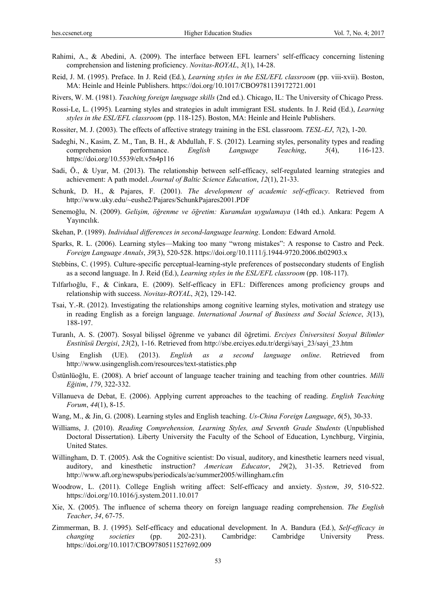- Rahimi, A., & Abedini, A. (2009). The interface between EFL learners' self-efficacy concerning listening comprehension and listening proficiency. *Novitas-ROYAL*, *3*(1), 14-28.
- Reid, J. M. (1995). Preface. In J. Reid (Ed.), *Learning styles in the ESL/EFL classroom* (pp. viii-xvii). Boston, MA: Heinle and Heinle Publishers. https://doi.org/10.1017/CBO9781139172721.001
- Rivers, W. M. (1981). *Teaching foreign language skills* (2nd ed.). Chicago, IL: The University of Chicago Press.
- Rossi-Le, L. (1995). Learning styles and strategies in adult immigrant ESL students. In J. Reid (Ed.), *Learning styles in the ESL/EFL classroom* (pp. 118-125). Boston, MA: Heinle and Heinle Publishers.
- Rossiter, M. J. (2003). The effects of affective strategy training in the ESL classroom. *TESL-EJ*, *7*(2), 1-20.
- Sadeghi, N., Kasim, Z. M., Tan, B. H., & Abdullah, F. S. (2012). Learning styles, personality types and reading comprehension performance. *English Language Teaching*, *5*(4), 116-123. https://doi.org/10.5539/elt.v5n4p116
- Sadi, Ö., & Uyar, M. (2013). The relationship between self-efficacy, self-regulated learning strategies and achievement: A path model. *Journal of Baltic Science Education*, *12*(1), 21-33.
- Schunk, D. H., & Pajares, F. (2001). *The development of academic self-efficacy*. Retrieved from http://www.uky.edu/~eushe2/Pajares/SchunkPajares2001.PDF
- Senemoğlu, N. (2009). *Gelişim, öğrenme ve öğretim: Kuramdan uygulamaya* (14th ed.). Ankara: Pegem A Yayıncılık.
- Skehan, P. (1989). *Individual differences in second-language learning*. London: Edward Arnold.
- Sparks, R. L. (2006). Learning styles—Making too many "wrong mistakes": A response to Castro and Peck. *Foreign Language Annals*, *39*(3), 520-528. https://doi.org/10.1111/j.1944-9720.2006.tb02903.x
- Stebbins, C. (1995). Culture-specific perceptual-learning-style preferences of postsecondary students of English as a second language. In J. Reid (Ed.), *Learning styles in the ESL/EFL classroom* (pp. 108-117).
- Tılfarlıoğlu, F., & Cinkara, E. (2009). Self-efficacy in EFL: Differences among proficiency groups and relationship with success. *Novitas-ROYAL*, *3*(2), 129-142.
- Tsai, Y.-R. (2012). Investigating the relationships among cognitive learning styles, motivation and strategy use in reading English as a foreign language. *International Journal of Business and Social Science*, *3*(13), 188-197.
- Turanlı, A. S. (2007). Sosyal bilişsel öğrenme ve yabancı dil öğretimi. *Erciyes Üniversitesi Sosyal Bilimler Enstitüsü Dergisi*, *23*(2), 1-16. Retrieved from http://sbe.erciyes.edu.tr/dergi/sayi\_23/sayi\_23.htm
- Using English (UE). (2013). *English as a second language online*. Retrieved from http://www.usingenglish.com/resources/text-statistics.php
- Üstünlüoğlu, E. (2008). A brief account of language teacher training and teaching from other countries. *Milli Eğitim*, *179*, 322-332.
- Villanueva de Debat, E. (2006). Applying current approaches to the teaching of reading. *English Teaching Forum*, *44*(1), 8-15.
- Wang, M., & Jin, G. (2008). Learning styles and English teaching. *Us-China Foreign Language*, *6*(5), 30-33.
- Williams, J. (2010). *Reading Comprehension, Learning Styles, and Seventh Grade Students* (Unpublished Doctoral Dissertation). Liberty University the Faculty of the School of Education, Lynchburg, Virginia, United States.
- Willingham, D. T. (2005). Ask the Cognitive scientist: Do visual, auditory, and kinesthetic learners need visual, auditory, and kinesthetic instruction? *American Educator*, *29*(2), 31-35. Retrieved from http://www.aft.org/newspubs/periodicals/ae/summer2005/willingham.cfm
- Woodrow, L. (2011). College English writing affect: Self-efficacy and anxiety. *System*, *39*, 510-522. https://doi.org/10.1016/j.system.2011.10.017
- Xie, X. (2005). The influence of schema theory on foreign language reading comprehension. *The English Teacher*, *34*, 67-75.
- Zimmerman, B. J. (1995). Self-efficacy and educational development. In A. Bandura (Ed.), *Self-efficacy in changing societies* (pp. 202-231). Cambridge: Cambridge University Press. https://doi.org/10.1017/CBO9780511527692.009